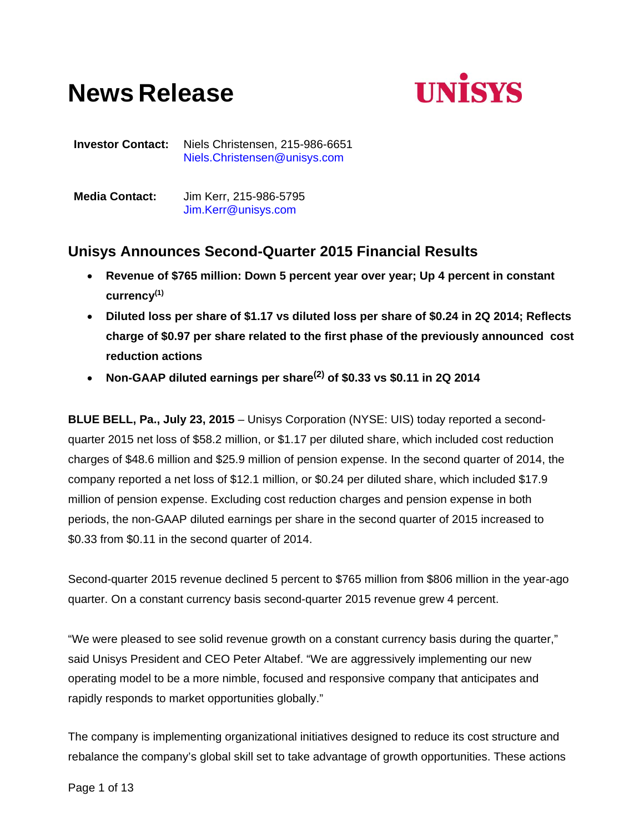# **News Release**



**Investor Contact:** Niels Christensen, 215-986-6651 Niels.Christensen@unisys.com

**Media Contact:** Jim Kerr, 215-986-5795 Jim.Kerr@unisys.com

## **Unisys Announces Second-Quarter 2015 Financial Results**

- **Revenue of \$765 million: Down 5 percent year over year; Up 4 percent in constant currency(1)**
- **Diluted loss per share of \$1.17 vs diluted loss per share of \$0.24 in 2Q 2014; Reflects charge of \$0.97 per share related to the first phase of the previously announced cost reduction actions**
- **Non-GAAP diluted earnings per share(2) of \$0.33 vs \$0.11 in 2Q 2014**

**BLUE BELL, Pa., July 23, 2015** – Unisys Corporation (NYSE: UIS) today reported a secondquarter 2015 net loss of \$58.2 million, or \$1.17 per diluted share, which included cost reduction charges of \$48.6 million and \$25.9 million of pension expense. In the second quarter of 2014, the company reported a net loss of \$12.1 million, or \$0.24 per diluted share, which included \$17.9 million of pension expense. Excluding cost reduction charges and pension expense in both periods, the non-GAAP diluted earnings per share in the second quarter of 2015 increased to \$0.33 from \$0.11 in the second quarter of 2014.

Second-quarter 2015 revenue declined 5 percent to \$765 million from \$806 million in the year-ago quarter. On a constant currency basis second-quarter 2015 revenue grew 4 percent.

"We were pleased to see solid revenue growth on a constant currency basis during the quarter," said Unisys President and CEO Peter Altabef. "We are aggressively implementing our new operating model to be a more nimble, focused and responsive company that anticipates and rapidly responds to market opportunities globally."

The company is implementing organizational initiatives designed to reduce its cost structure and rebalance the company's global skill set to take advantage of growth opportunities. These actions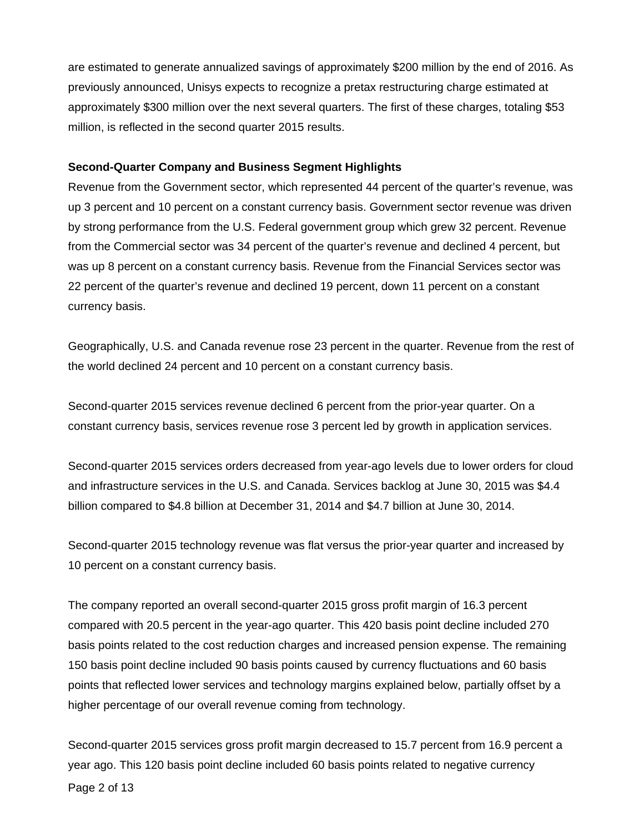are estimated to generate annualized savings of approximately \$200 million by the end of 2016. As previously announced, Unisys expects to recognize a pretax restructuring charge estimated at approximately \$300 million over the next several quarters. The first of these charges, totaling \$53 million, is reflected in the second quarter 2015 results.

## **Second-Quarter Company and Business Segment Highlights**

Revenue from the Government sector, which represented 44 percent of the quarter's revenue, was up 3 percent and 10 percent on a constant currency basis. Government sector revenue was driven by strong performance from the U.S. Federal government group which grew 32 percent. Revenue from the Commercial sector was 34 percent of the quarter's revenue and declined 4 percent, but was up 8 percent on a constant currency basis. Revenue from the Financial Services sector was 22 percent of the quarter's revenue and declined 19 percent, down 11 percent on a constant currency basis.

Geographically, U.S. and Canada revenue rose 23 percent in the quarter. Revenue from the rest of the world declined 24 percent and 10 percent on a constant currency basis.

Second-quarter 2015 services revenue declined 6 percent from the prior-year quarter. On a constant currency basis, services revenue rose 3 percent led by growth in application services.

Second-quarter 2015 services orders decreased from year-ago levels due to lower orders for cloud and infrastructure services in the U.S. and Canada. Services backlog at June 30, 2015 was \$4.4 billion compared to \$4.8 billion at December 31, 2014 and \$4.7 billion at June 30, 2014.

Second-quarter 2015 technology revenue was flat versus the prior-year quarter and increased by 10 percent on a constant currency basis.

The company reported an overall second-quarter 2015 gross profit margin of 16.3 percent compared with 20.5 percent in the year-ago quarter. This 420 basis point decline included 270 basis points related to the cost reduction charges and increased pension expense. The remaining 150 basis point decline included 90 basis points caused by currency fluctuations and 60 basis points that reflected lower services and technology margins explained below, partially offset by a higher percentage of our overall revenue coming from technology.

Page 2 of 13 Second-quarter 2015 services gross profit margin decreased to 15.7 percent from 16.9 percent a year ago. This 120 basis point decline included 60 basis points related to negative currency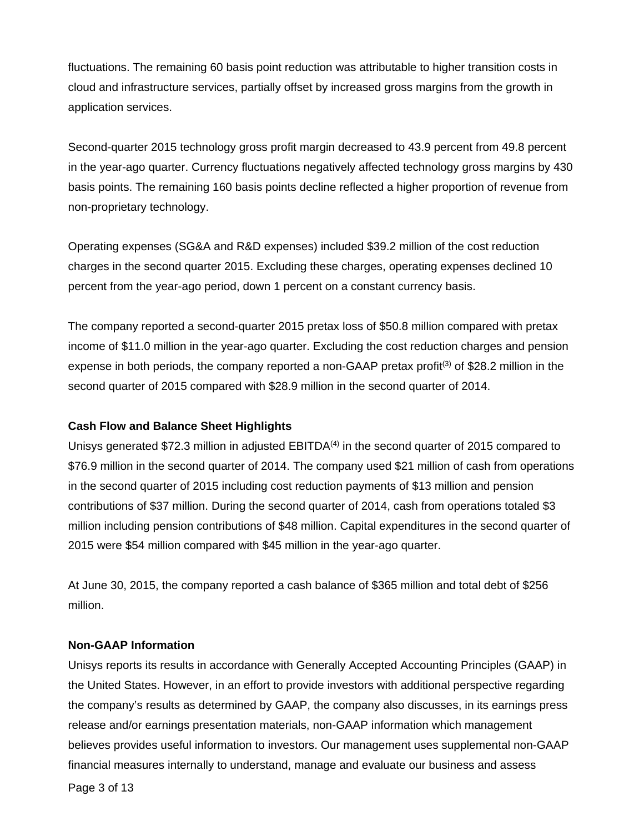fluctuations. The remaining 60 basis point reduction was attributable to higher transition costs in cloud and infrastructure services, partially offset by increased gross margins from the growth in application services.

Second-quarter 2015 technology gross profit margin decreased to 43.9 percent from 49.8 percent in the year-ago quarter. Currency fluctuations negatively affected technology gross margins by 430 basis points. The remaining 160 basis points decline reflected a higher proportion of revenue from non-proprietary technology.

Operating expenses (SG&A and R&D expenses) included \$39.2 million of the cost reduction charges in the second quarter 2015. Excluding these charges, operating expenses declined 10 percent from the year-ago period, down 1 percent on a constant currency basis.

The company reported a second-quarter 2015 pretax loss of \$50.8 million compared with pretax income of \$11.0 million in the year-ago quarter. Excluding the cost reduction charges and pension expense in both periods, the company reported a non-GAAP pretax profit<sup>(3)</sup> of \$28.2 million in the second quarter of 2015 compared with \$28.9 million in the second quarter of 2014.

## **Cash Flow and Balance Sheet Highlights**

Unisys generated \$72.3 million in adjusted EBITDA<sup>(4)</sup> in the second quarter of 2015 compared to \$76.9 million in the second quarter of 2014. The company used \$21 million of cash from operations in the second quarter of 2015 including cost reduction payments of \$13 million and pension contributions of \$37 million. During the second quarter of 2014, cash from operations totaled \$3 million including pension contributions of \$48 million. Capital expenditures in the second quarter of 2015 were \$54 million compared with \$45 million in the year-ago quarter.

At June 30, 2015, the company reported a cash balance of \$365 million and total debt of \$256 million.

## **Non-GAAP Information**

Unisys reports its results in accordance with Generally Accepted Accounting Principles (GAAP) in the United States. However, in an effort to provide investors with additional perspective regarding the company's results as determined by GAAP, the company also discusses, in its earnings press release and/or earnings presentation materials, non-GAAP information which management believes provides useful information to investors. Our management uses supplemental non-GAAP financial measures internally to understand, manage and evaluate our business and assess

Page 3 of 13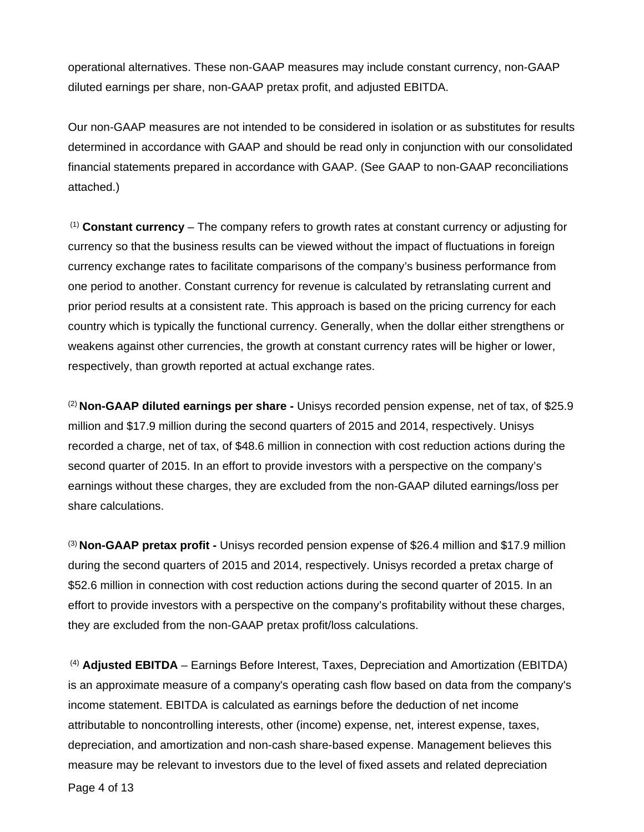operational alternatives. These non-GAAP measures may include constant currency, non-GAAP diluted earnings per share, non-GAAP pretax profit, and adjusted EBITDA.

Our non-GAAP measures are not intended to be considered in isolation or as substitutes for results determined in accordance with GAAP and should be read only in conjunction with our consolidated financial statements prepared in accordance with GAAP. (See GAAP to non-GAAP reconciliations attached.)

 (1) **Constant currency** – The company refers to growth rates at constant currency or adjusting for currency so that the business results can be viewed without the impact of fluctuations in foreign currency exchange rates to facilitate comparisons of the company's business performance from one period to another. Constant currency for revenue is calculated by retranslating current and prior period results at a consistent rate. This approach is based on the pricing currency for each country which is typically the functional currency. Generally, when the dollar either strengthens or weakens against other currencies, the growth at constant currency rates will be higher or lower, respectively, than growth reported at actual exchange rates.

(2) **Non-GAAP diluted earnings per share -** Unisys recorded pension expense, net of tax, of \$25.9 million and \$17.9 million during the second quarters of 2015 and 2014, respectively. Unisys recorded a charge, net of tax, of \$48.6 million in connection with cost reduction actions during the second quarter of 2015. In an effort to provide investors with a perspective on the company's earnings without these charges, they are excluded from the non-GAAP diluted earnings/loss per share calculations.

(3) **Non-GAAP pretax profit -** Unisys recorded pension expense of \$26.4 million and \$17.9 million during the second quarters of 2015 and 2014, respectively. Unisys recorded a pretax charge of \$52.6 million in connection with cost reduction actions during the second quarter of 2015. In an effort to provide investors with a perspective on the company's profitability without these charges, they are excluded from the non-GAAP pretax profit/loss calculations.

 (4) **Adjusted EBITDA** – Earnings Before Interest, Taxes, Depreciation and Amortization (EBITDA) is an approximate measure of a company's operating cash flow based on data from the company's income statement. EBITDA is calculated as earnings before the deduction of net income attributable to noncontrolling interests, other (income) expense, net, interest expense, taxes, depreciation, and amortization and non-cash share-based expense. Management believes this measure may be relevant to investors due to the level of fixed assets and related depreciation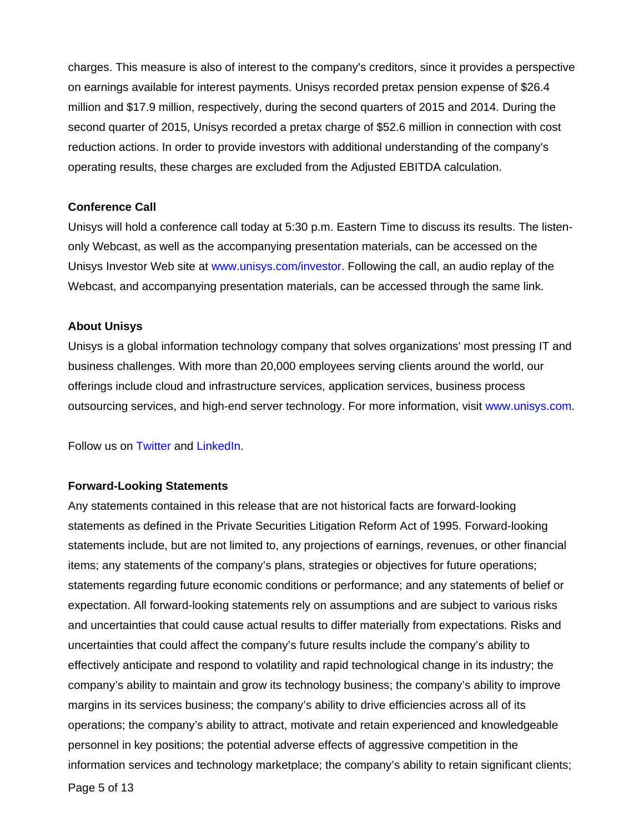charges. This measure is also of interest to the company's creditors, since it provides a perspective on earnings available for interest payments. Unisys recorded pretax pension expense of \$26.4 million and \$17.9 million, respectively, during the second quarters of 2015 and 2014. During the second quarter of 2015, Unisys recorded a pretax charge of \$52.6 million in connection with cost reduction actions. In order to provide investors with additional understanding of the company's operating results, these charges are excluded from the Adjusted EBITDA calculation.

## **Conference Call**

Unisys will hold a conference call today at 5:30 p.m. Eastern Time to discuss its results. The listenonly Webcast, as well as the accompanying presentation materials, can be accessed on the Unisys Investor Web site at www.unisys.com/investor. Following the call, an audio replay of the Webcast, and accompanying presentation materials, can be accessed through the same link.

## **About Unisys**

Unisys is a global information technology company that solves organizations' most pressing IT and business challenges. With more than 20,000 employees serving clients around the world, our offerings include cloud and infrastructure services, application services, business process outsourcing services, and high-end server technology. For more information, visit www.unisys.com.

Follow us on Twitter and LinkedIn.

## **Forward-Looking Statements**

Any statements contained in this release that are not historical facts are forward-looking statements as defined in the Private Securities Litigation Reform Act of 1995. Forward-looking statements include, but are not limited to, any projections of earnings, revenues, or other financial items; any statements of the company's plans, strategies or objectives for future operations; statements regarding future economic conditions or performance; and any statements of belief or expectation. All forward-looking statements rely on assumptions and are subject to various risks and uncertainties that could cause actual results to differ materially from expectations. Risks and uncertainties that could affect the company's future results include the company's ability to effectively anticipate and respond to volatility and rapid technological change in its industry; the company's ability to maintain and grow its technology business; the company's ability to improve margins in its services business; the company's ability to drive efficiencies across all of its operations; the company's ability to attract, motivate and retain experienced and knowledgeable personnel in key positions; the potential adverse effects of aggressive competition in the information services and technology marketplace; the company's ability to retain significant clients;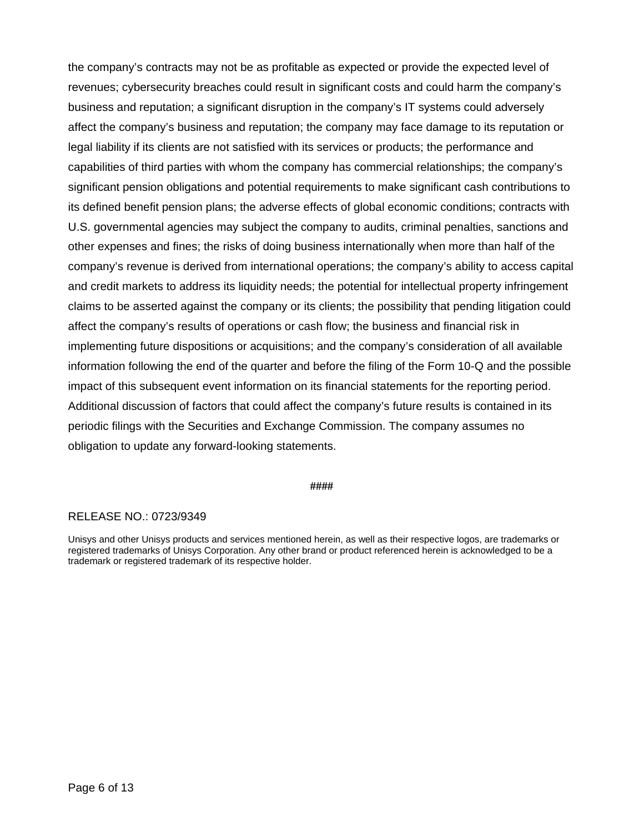the company's contracts may not be as profitable as expected or provide the expected level of revenues; cybersecurity breaches could result in significant costs and could harm the company's business and reputation; a significant disruption in the company's IT systems could adversely affect the company's business and reputation; the company may face damage to its reputation or legal liability if its clients are not satisfied with its services or products; the performance and capabilities of third parties with whom the company has commercial relationships; the company's significant pension obligations and potential requirements to make significant cash contributions to its defined benefit pension plans; the adverse effects of global economic conditions; contracts with U.S. governmental agencies may subject the company to audits, criminal penalties, sanctions and other expenses and fines; the risks of doing business internationally when more than half of the company's revenue is derived from international operations; the company's ability to access capital and credit markets to address its liquidity needs; the potential for intellectual property infringement claims to be asserted against the company or its clients; the possibility that pending litigation could affect the company's results of operations or cash flow; the business and financial risk in implementing future dispositions or acquisitions; and the company's consideration of all available information following the end of the quarter and before the filing of the Form 10-Q and the possible impact of this subsequent event information on its financial statements for the reporting period. Additional discussion of factors that could affect the company's future results is contained in its periodic filings with the Securities and Exchange Commission. The company assumes no obligation to update any forward-looking statements.

#### **####**

## RELEASE NO.: 0723/9349

Unisys and other Unisys products and services mentioned herein, as well as their respective logos, are trademarks or registered trademarks of Unisys Corporation. Any other brand or product referenced herein is acknowledged to be a trademark or registered trademark of its respective holder.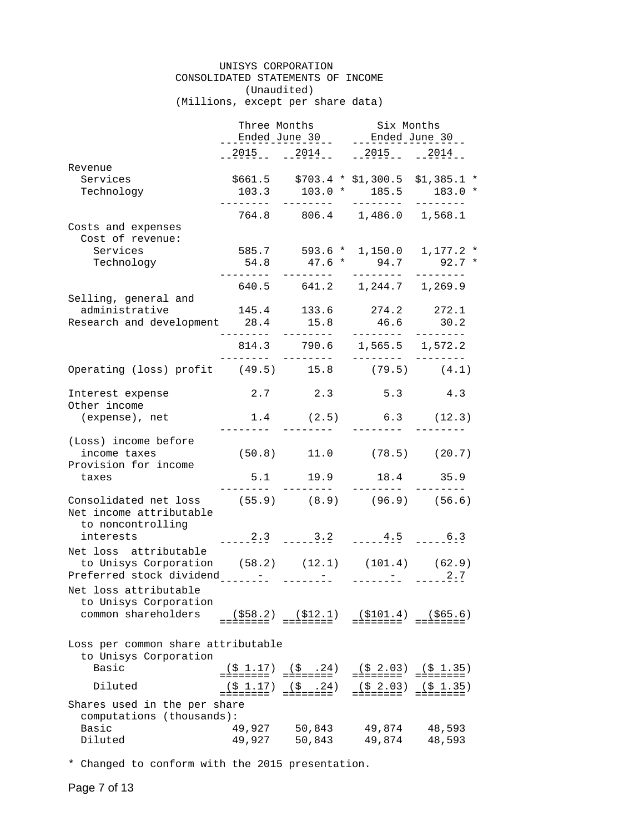#### UNISYS CORPORATION CONSOLIDATED STATEMENTS OF INCOME (Unaudited) (Millions, except per share data)

|                                                    |                           | Three Months             | Six Months                                |                                             |
|----------------------------------------------------|---------------------------|--------------------------|-------------------------------------------|---------------------------------------------|
|                                                    |                           | _Ended_June_30__         | ___Ended_June_30_.                        |                                             |
|                                                    |                           | 2015 2014                | $-2015$ 2014                              |                                             |
| Revenue                                            |                           |                          |                                           |                                             |
| Services                                           |                           |                          |                                           | $$661.5$ $$703.4 * $1,300.5 $1,385.1 *$     |
| Technology                                         | 103.3                     |                          |                                           | $103.0 * 185.5 183.0 *$                     |
|                                                    | _______                   |                          | _________                                 |                                             |
|                                                    |                           |                          | 764.8 806.4 1,486.0 1,568.1               |                                             |
| Costs and expenses                                 |                           |                          |                                           |                                             |
| Cost of revenue:                                   |                           |                          |                                           |                                             |
| Services                                           |                           |                          |                                           | 585.7 593.6 * 1,150.0 1,177.2 *             |
| Technology                                         | 54.8<br>--------          | _________                | ----------                                | $47.6 * 94.7 92.7 *$<br>$- - - - - - - - -$ |
|                                                    |                           |                          | 640.5 641.2 1,244.7 1,269.9               |                                             |
| Selling, general and                               |                           |                          |                                           |                                             |
| administrative                                     |                           | 145.4 133.6              | 274.2 272.1                               |                                             |
| Research and development 28.4                      |                           | 15.8                     | 46.6                                      | 30.2                                        |
|                                                    | ---------                 | ---------                | ---------                                 | $- - - - - - - -$                           |
|                                                    |                           |                          | 814.3 790.6 1,565.5 1,572.2               |                                             |
|                                                    |                           |                          |                                           |                                             |
| Operating (loss) profit (49.5) 15.8 (79.5) (4.1)   |                           |                          |                                           |                                             |
| Interest expense                                   |                           |                          | 2.7 2.3 5.3 4.3                           |                                             |
| Other income                                       |                           |                          |                                           |                                             |
| (expense), net                                     |                           | $1.4$ (2.5)              | $6.3$ $(12.3)$                            |                                             |
| (Loss) income before                               |                           |                          |                                           |                                             |
| income taxes                                       |                           |                          | $(50.8)$ 11.0 $(78.5)$ (20.7)             |                                             |
| Provision for income                               |                           |                          |                                           |                                             |
| taxes                                              |                           | $5.1$ 19.9               | 18.4 35.9                                 |                                             |
|                                                    | ---------                 | --------- <b>-</b>       |                                           |                                             |
| Consolidated net loss (55.9) (8.9) (96.9) (56.6)   |                           |                          |                                           |                                             |
| Net income attributable                            |                           |                          |                                           |                                             |
| to noncontrolling                                  |                           |                          |                                           |                                             |
| interests                                          |                           |                          | $-2.3$ $-2.3$ $-2.3$ $-2.2$ $-2.5$ $-2.5$ |                                             |
| Net loss attributable                              |                           |                          |                                           |                                             |
| to Unisys Corporation (58.2) (12.1) (101.4) (62.9) |                           |                          |                                           |                                             |
|                                                    |                           |                          |                                           |                                             |
| Net loss attributable                              |                           |                          |                                           |                                             |
| to Unisys Corporation<br>common shareholders       | $($ \$58.2)               | ( \$12.1)                | ( \$101.4)                                | (S65.6)                                     |
|                                                    |                           |                          |                                           |                                             |
|                                                    |                           |                          |                                           |                                             |
| Loss per common share attributable                 |                           |                          |                                           |                                             |
| to Unisys Corporation<br>Basic                     | $(S_1.17)$                | $(5 \t .24)$             | (S <sub>2.03</sub> )                      | $(S_1, 35)$                                 |
|                                                    | ========                  | ========                 | ========                                  |                                             |
| Diluted                                            | $(S_1 1.17)$<br>========" | $(\xi$ . 24)<br>======== | (5 2.03)<br>========                      | $(S_1, 35)$                                 |
| Shares used in the per share                       |                           |                          |                                           |                                             |
| computations (thousands):                          |                           |                          |                                           |                                             |
| Basic                                              | 49,927                    | 50,843                   | 49,874                                    | 48,593                                      |
| Diluted                                            | 49,927                    | 50,843                   | 49,874                                    | 48,593                                      |

\* Changed to conform with the 2015 presentation.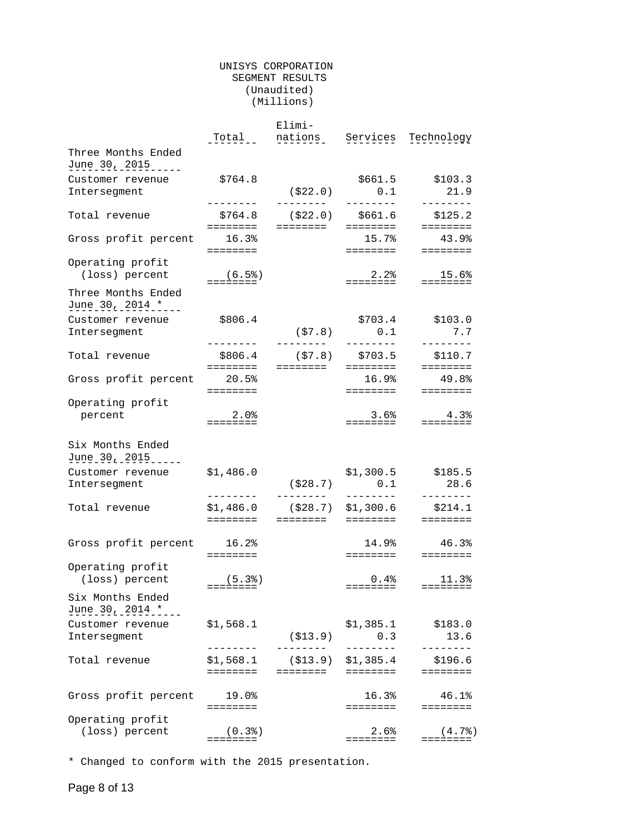#### UNISYS CORPORATION SEGMENT RESULTS (Unaudited) (Millions)

|                                           | $Total$ <sub>--</sub>            | Elimi-<br>nations               | Services                         | Technology                                                                                     |
|-------------------------------------------|----------------------------------|---------------------------------|----------------------------------|------------------------------------------------------------------------------------------------|
| Three Months Ended<br>June 30, 2015       |                                  |                                 |                                  |                                                                                                |
| Customer revenue<br>Intersegment          | \$764.8<br>--------              | ( \$22.0)<br>---------          | \$661.5<br>0.1<br>--------       | \$103.3<br>21.9<br>--------                                                                    |
| Total revenue                             | \$764.8<br>========              | ( \$22.0)<br>========           | \$661.6<br>========              | \$125.2<br>========                                                                            |
| Gross profit percent                      | 16.3%<br>========                |                                 | 15.7%<br>========                | 43.9%<br>$=$ = = = = = = =                                                                     |
| Operating profit<br>(loss) percent        | (6.5)<br>========                |                                 | $2.2\%$<br>========              | 15.6%<br>========                                                                              |
| Three Months Ended<br>June 30, 2014 *____ |                                  |                                 |                                  |                                                                                                |
| Customer revenue<br>Intersegment          | \$806.4                          | (57.8)                          | \$703.4<br>0.1                   | \$103.0<br>7.7                                                                                 |
| Total revenue                             | ---------<br>\$806.4<br>======== | _________<br>(57.8)<br>======== | ---------<br>\$703.5<br>======== | --------<br>\$110.7<br>$\qquad \qquad \equiv \equiv \equiv \equiv \equiv \equiv \equiv \equiv$ |
| Gross profit percent                      | 20.5%<br>$=$ = = = = = = =       |                                 | 16.9%<br>========                | 49.8%<br><b>EEEEEEEE</b>                                                                       |
| Operating profit<br>percent               | $2.0\%$<br>========              |                                 | 3.6%<br>========                 | 4.3%<br>========                                                                               |
| Six Months Ended<br>June 30, 2015         |                                  |                                 |                                  |                                                                                                |
| Customer revenue<br>Intersegment          | \$1,486.0<br>---------           | ( \$28.7)<br>---------          | \$1,300.5<br>0.1<br>---------    | \$185.5<br>28.6<br>---------                                                                   |
| Total revenue                             | \$1,486.0<br>$=$ = = = = = = =   | ( \$28.7)<br>========           | \$1,300.6<br>$=$ = = = = = = =   | \$214.1<br>========                                                                            |
| Gross profit percent                      | 16.2%<br>========                |                                 | 14.9%<br>========                | 46.3%<br>========                                                                              |
| Operating profit<br>(loss) percent        | (5.3)                            |                                 | $0.4\%$                          | 11.3%<br>===:                                                                                  |
| Six Months Ended<br>June 30, 2014 *       |                                  |                                 |                                  |                                                                                                |
| Customer revenue<br>Intersegment          | \$1,568.1                        | ( \$13.9)<br>--------           | \$1,385.1<br>0.3                 | \$183.0<br>13.6                                                                                |
| Total revenue                             | \$1,568.1<br>========            | ( \$13.9)<br>========           | \$1,385.4<br>$=$ = = = = = = =   | \$196.6<br>========                                                                            |
| Gross profit percent                      | 19.0%<br>$=$ = = = = = = =       |                                 | 16.3%<br>========                | 46.1%<br>========                                                                              |
| Operating profit<br>(loss) percent        | (0.3%)<br>========               |                                 | 2.6%<br>========                 | (4.7)<br>=======                                                                               |

\* Changed to conform with the 2015 presentation.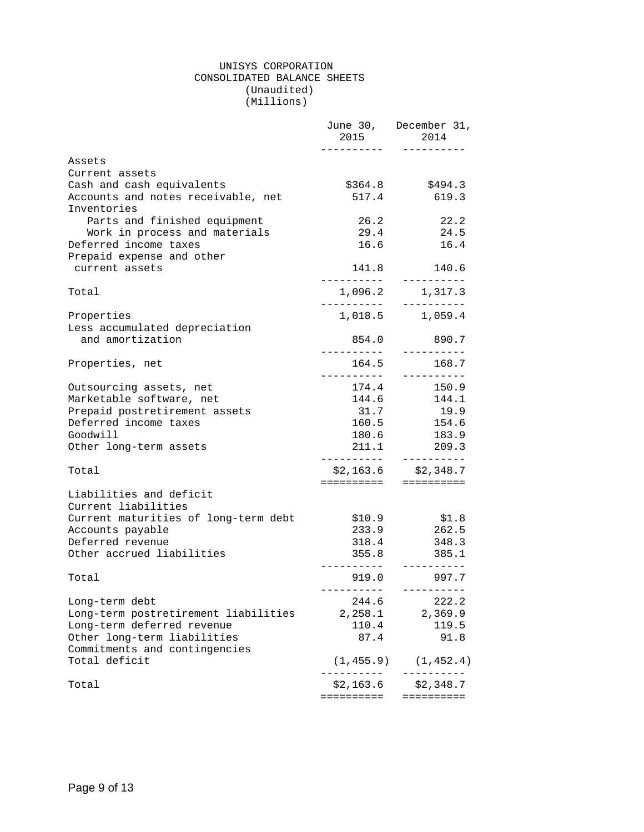#### UNISYS CORPORATION CONSOLIDATED BALANCE SHEETS (Unaudited) (Millions)

|                                                   | 2015                       | June 30, December 31,<br>2014<br>----------                   |
|---------------------------------------------------|----------------------------|---------------------------------------------------------------|
| Assets                                            |                            |                                                               |
| Current assets                                    |                            |                                                               |
| Cash and cash equivalents                         | \$364.8                    | \$494.3                                                       |
| Accounts and notes receivable, net<br>Inventories | 517.4                      | 619.3                                                         |
| Parts and finished equipment                      | 26.2                       | 22.2                                                          |
| Work in process and materials                     |                            | 29.4 24.5                                                     |
| Deferred income taxes                             | 16.6                       | 16.4                                                          |
| Prepaid expense and other                         |                            |                                                               |
| current assets                                    | 141.8<br>-----------       | 140.6<br>----------                                           |
| Total                                             | 1,096.2<br>__________      | 1,317.3<br>----------                                         |
| Properties                                        |                            | 1,018.5 1,059.4                                               |
| Less accumulated depreciation                     |                            |                                                               |
| and amortization                                  | 854.0                      | 890.7<br>----------                                           |
| Properties, net                                   | 164.5                      | 168.7                                                         |
| Outsourcing assets, net                           | 174.4                      | 150.9                                                         |
| Marketable software, net                          | 144.6                      | 144.1                                                         |
| Prepaid postretirement assets                     | 31.7                       | 19.9                                                          |
| Deferred income taxes                             | 160.5                      | 154.6                                                         |
| Goodwill                                          | 180.6                      | 183.9                                                         |
| Other long-term assets                            |                            | 211.1 209.3                                                   |
| Total                                             | . <u>.</u>                 | ----------<br>$$2,163.6$ $$2,348.7$<br>==========  ========== |
| Liabilities and deficit<br>Current liabilities    |                            |                                                               |
| Current maturities of long-term debt              | \$10.9                     | \$1.8                                                         |
| Accounts payable                                  | 233.9                      | 262.5                                                         |
| Deferred revenue                                  | 318.4                      | 348.3                                                         |
| Other accrued liabilities                         | 355.8                      | 385.1                                                         |
|                                                   |                            | ----------                                                    |
| Total                                             | ------                     | 919.0 997.7<br>----------                                     |
| Long-term debt                                    | 244.6                      | 222.2                                                         |
| Long-term postretirement liabilities              | 2,258.1                    | 2,369.9                                                       |
| Long-term deferred revenue                        | 110.4                      | 119.5                                                         |
| Other long-term liabilities                       | 87.4                       | 91.8                                                          |
| Commitments and contingencies                     |                            |                                                               |
| Total deficit                                     | (1, 455.9)<br>. <u>.</u> . | (1, 452.4)<br>----------                                      |
| Total                                             | \$2,163.6                  | \$2,348.7                                                     |
|                                                   | ==========                 | ==========                                                    |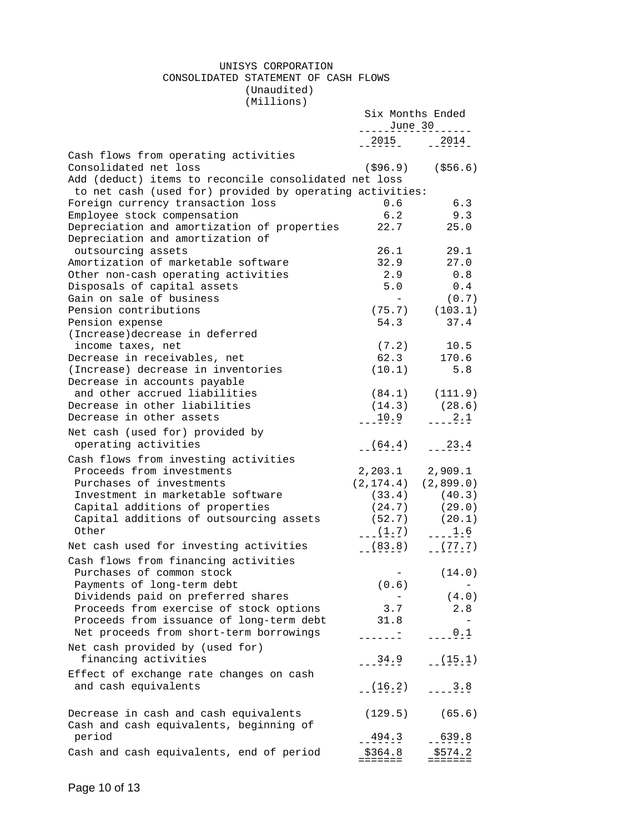#### UNISYS CORPORATION CONSOLIDATED STATEMENT OF CASH FLOWS (Unaudited)

(Millions)

|                                                               | Six Months Ended<br>$\frac{June}{2}$ = $\frac{June}{2}$ |                      |
|---------------------------------------------------------------|---------------------------------------------------------|----------------------|
|                                                               |                                                         |                      |
|                                                               | $-2015$ $-2014$                                         |                      |
| Cash flows from operating activities<br>Consolidated net loss |                                                         | $($ \$96.9) (\$56.6) |
| Add (deduct) items to reconcile consolidated net loss         |                                                         |                      |
| to net cash (used for) provided by operating activities:      |                                                         |                      |
| Foreign currency transaction loss                             | 0.6                                                     | 6.3                  |
| Employee stock compensation                                   |                                                         | $6.2$ 9.3            |
| Depreciation and amortization of properties                   |                                                         | 22.7 25.0            |
| Depreciation and amortization of                              |                                                         |                      |
| outsourcing assets                                            | 26.1                                                    | 29.1                 |
| Amortization of marketable software                           | 32.9                                                    | 27.0                 |
| Other non-cash operating activities                           | 2.9                                                     | 0.8                  |
| Disposals of capital assets                                   | 5.0                                                     | 0.4                  |
| Gain on sale of business                                      | $\sim$ $-$                                              | (0.7)                |
| Pension contributions                                         |                                                         | $(75.7)$ $(103.1)$   |
| Pension expense                                               | 54.3                                                    | 37.4                 |
| (Increase)decrease in deferred                                |                                                         |                      |
| income taxes, net                                             | (7.2)                                                   | 10.5<br>170.6        |
| Decrease in receivables, net                                  | 62.3                                                    |                      |
| (Increase) decrease in inventories                            | (10.1)                                                  | 5.8                  |
| Decrease in accounts payable                                  |                                                         |                      |
| and other accrued liabilities                                 | $(84.1)$ $(111.9)$                                      |                      |
| Decrease in other liabilities                                 | $(14.3)$ $(28.6)$                                       |                      |
| Decrease in other assets                                      | $-10.9$ $-2.1$                                          |                      |
| Net cash (used for) provided by                               |                                                         |                      |
| operating activities                                          | $-64.4$ $-23.4$                                         |                      |
| Cash flows from investing activities                          |                                                         |                      |
| Proceeds from investments                                     | 2, 203.1 2, 909.1                                       |                      |
| Purchases of investments                                      | $(2, 174.4)$ $(2, 899.0)$                               |                      |
| Investment in marketable software                             | $(33.4)$ $(40.3)$                                       |                      |
| Capital additions of properties                               | $(24.7)$ $(29.0)$                                       |                      |
| Capital additions of outsourcing assets (52.7) (20.1)         |                                                         |                      |
| Other                                                         | $-(-1.7)$ $-2.6$                                        |                      |
| Net cash used for investing activities                        | (83.8)                                                  | $ (77.7)$            |
| Cash flows from financing activities                          |                                                         |                      |
| Purchases of common stock                                     |                                                         | (14.0)               |
| Payments of long-term debt                                    | (0.6)                                                   |                      |
| Dividends paid on preferred shares                            |                                                         | (4.0)                |
| Proceeds from exercise of stock options                       | 3.7                                                     | 2.8                  |
| Proceeds from issuance of long-term debt                      | 31.8                                                    |                      |
| Net proceeds from short-term borrowings                       |                                                         | 0.1                  |
| Net cash provided by (used for)                               |                                                         |                      |
| financing activities                                          | 34.9                                                    | (15.1)               |
| Effect of exchange rate changes on cash                       |                                                         |                      |
| and cash equivalents                                          | (16.2)                                                  | $---3.8$             |
|                                                               |                                                         |                      |
| Decrease in cash and cash equivalents                         | (129.5)                                                 | (65.6)               |
| Cash and cash equivalents, beginning of                       |                                                         |                      |
| period                                                        | 494.3                                                   | 639.8                |
|                                                               |                                                         |                      |
| Cash and cash equivalents, end of period                      | \$364.8                                                 | \$574.2              |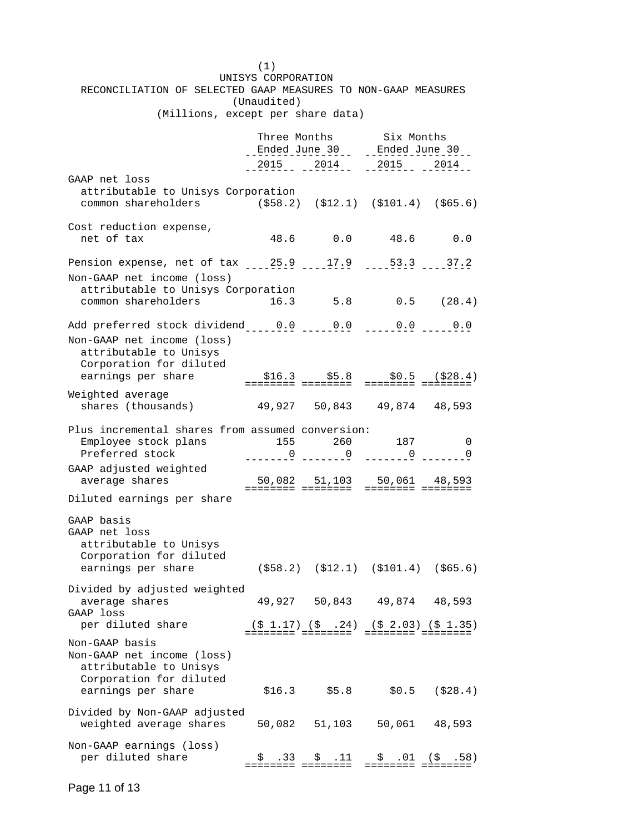(1) UNISYS CORPORATION RECONCILIATION OF SELECTED GAAP MEASURES TO NON-GAAP MEASURES (Unaudited) (Millions, except per share data) Three Months Six Months Ended June 30 Ended June 30 ----------------- -----------------  $-2015$   $-2014$   $-2014$   $-2015$   $-2014$ GAAP net loss attributable to Unisys Corporation common shareholders (\$58.2) (\$12.1) (\$101.4) (\$65.6) Cost reduction expense, net of tax 48.6 0.0 48.6 0.0 Pension expense, net of tax \_\_\_\_25.9 \_\_\_\_17.9 \_\_\_\_53.3 \_\_\_\_37.2 Non-GAAP net income (loss) attributable to Unisys Corporation common shareholders 16.3 5.8 0.5 (28.4) Add preferred stock dividend\_\_\_\_\_0.0 \_\_\_\_\_0.0 \_\_\_\_\_0.0 \_\_\_\_\_0.0 Non-GAAP net income (loss) attributable to Unisys Corporation for diluted earnings per share \$16.3 \$5.8 \$0.5 (\$28.4) ======== ======== ======== ======== Weighted average shares (thousands) 49,927 50,843 49,874 48,593 Plus incremental shares from assumed conversion: Employee stock plans  $155$  260 187 0<br>Preferred stock 0 0 0 0 Preferred stock 0 0 0 0 -------- -------- -------- -------- GAAP adjusted weighted average shares 50,082 51,103 50,061 48,593 ======== ======== ======== ======== Diluted earnings per share GAAP basis GAAP net loss attributable to Unisys Corporation for diluted earnings per share (\$58.2) (\$12.1) (\$101.4) (\$65.6) Divided by adjusted weighted average shares 49,927 50,843 49,874 48,593 GAAP loss per diluted share (\$ 1.17) (\$ .24) (\$ 2.03) (\$ 1.35) ======== ======== ======== ======== Non-GAAP basis Non-GAAP net income (loss) attributable to Unisys Corporation for diluted earnings per share \$16.3 \$5.8 \$0.5 (\$28.4) Divided by Non-GAAP adjusted weighted average shares 50,082 51,103 50,061 48,593 Non-GAAP earnings (loss) per diluted share \$ .33 \$ .11 \$ .01 (\$ .58) ======== ======== ======== ========

Page 11 of 13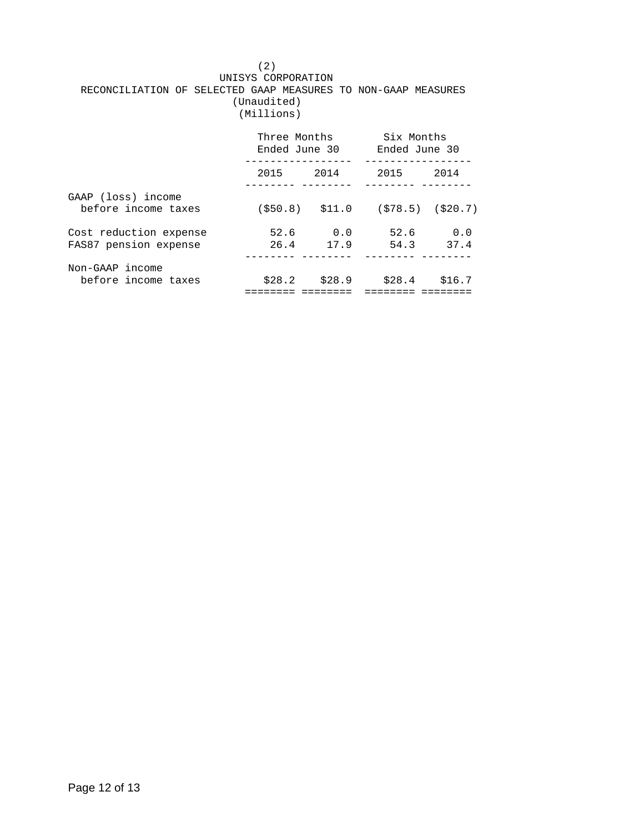|            | (2)                                                           |  |  |  |  |
|------------|---------------------------------------------------------------|--|--|--|--|
|            | UNISYS CORPORATION                                            |  |  |  |  |
|            | RECONCILIATION OF SELECTED GAAP MEASURES TO NON-GAAP MEASURES |  |  |  |  |
|            | (Unaudited)                                                   |  |  |  |  |
| (Millions) |                                                               |  |  |  |  |
|            |                                                               |  |  |  |  |

|                                                 | Three Months<br>Ended June 30 |                 | Six Months<br>Ended June 30 |             |
|-------------------------------------------------|-------------------------------|-----------------|-----------------------------|-------------|
|                                                 | 2015                          | 2014            | 2015                        | 2014        |
| GAAP (loss) income<br>before income taxes       |                               | (\$50.8) \$11.0 | $(578.5)$ $(520.7)$         |             |
| Cost reduction expense<br>FAS87 pension expense | 52.6<br>26.4                  | 0.0<br>17.9     | 52.6<br>54.3                | 0.0<br>37.4 |
| Non-GAAP income<br>before income taxes          | \$28.2                        | \$28.9          | \$28.4                      | \$16.7      |